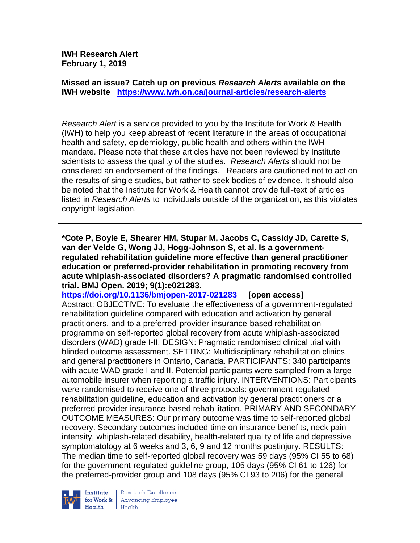**IWH Research Alert February 1, 2019**

**Missed an issue? Catch up on previous** *Research Alerts* **available on the [IWH website](http://www.iwh.on.ca/research-alerts) <https://www.iwh.on.ca/journal-articles/research-alerts>**

*Research Alert* is a service provided to you by the Institute for Work & Health (IWH) to help you keep abreast of recent literature in the areas of occupational health and safety, epidemiology, public health and others within the IWH mandate. Please note that these articles have not been reviewed by Institute scientists to assess the quality of the studies. *Research Alerts* should not be considered an endorsement of the findings. Readers are cautioned not to act on the results of single studies, but rather to seek bodies of evidence. It should also be noted that the Institute for Work & Health cannot provide full-text of articles listed in *Research Alerts* to individuals outside of the organization, as this violates copyright legislation.

**\*Cote P, Boyle E, Shearer HM, Stupar M, Jacobs C, Cassidy JD, Carette S, van der Velde G, Wong JJ, Hogg-Johnson S, et al. Is a governmentregulated rehabilitation guideline more effective than general practitioner education or preferred-provider rehabilitation in promoting recovery from acute whiplash-associated disorders? A pragmatic randomised controlled trial. BMJ Open. 2019; 9(1):e021283.**

**<https://doi.org/10.1136/bmjopen-2017-021283> [open access]** Abstract: OBJECTIVE: To evaluate the effectiveness of a government-regulated rehabilitation guideline compared with education and activation by general practitioners, and to a preferred-provider insurance-based rehabilitation programme on self-reported global recovery from acute whiplash-associated disorders (WAD) grade I-II. DESIGN: Pragmatic randomised clinical trial with blinded outcome assessment. SETTING: Multidisciplinary rehabilitation clinics and general practitioners in Ontario, Canada. PARTICIPANTS: 340 participants with acute WAD grade I and II. Potential participants were sampled from a large automobile insurer when reporting a traffic injury. INTERVENTIONS: Participants were randomised to receive one of three protocols: government-regulated rehabilitation guideline, education and activation by general practitioners or a preferred-provider insurance-based rehabilitation. PRIMARY AND SECONDARY OUTCOME MEASURES: Our primary outcome was time to self-reported global recovery. Secondary outcomes included time on insurance benefits, neck pain intensity, whiplash-related disability, health-related quality of life and depressive symptomatology at 6 weeks and 3, 6, 9 and 12 months postinjury. RESULTS: The median time to self-reported global recovery was 59 days (95% CI 55 to 68) for the government-regulated guideline group, 105 days (95% CI 61 to 126) for the preferred-provider group and 108 days (95% CI 93 to 206) for the general



Research Excellence **Advancing Employee** Health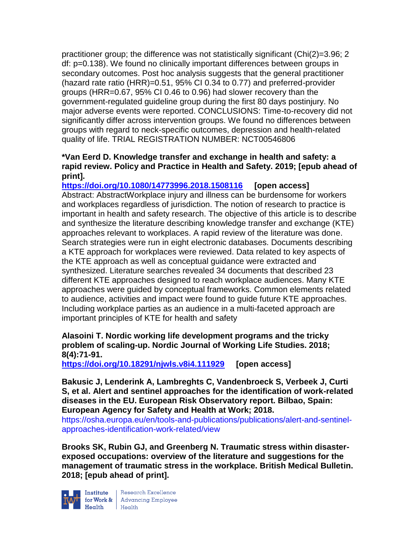practitioner group; the difference was not statistically significant (Chi(2)=3.96; 2 df: p=0.138). We found no clinically important differences between groups in secondary outcomes. Post hoc analysis suggests that the general practitioner (hazard rate ratio (HRR)=0.51, 95% CI 0.34 to 0.77) and preferred-provider groups (HRR=0.67, 95% CI 0.46 to 0.96) had slower recovery than the government-regulated guideline group during the first 80 days postinjury. No major adverse events were reported. CONCLUSIONS: Time-to-recovery did not significantly differ across intervention groups. We found no differences between groups with regard to neck-specific outcomes, depression and health-related quality of life. TRIAL REGISTRATION NUMBER: NCT00546806

## **\*Van Eerd D. Knowledge transfer and exchange in health and safety: a rapid review. Policy and Practice in Health and Safety. 2019; [epub ahead of print].**

**<https://doi.org/10.1080/14773996.2018.1508116> [open access]** Abstract: AbstractWorkplace injury and illness can be burdensome for workers and workplaces regardless of jurisdiction. The notion of research to practice is important in health and safety research. The objective of this article is to describe and synthesize the literature describing knowledge transfer and exchange (KTE) approaches relevant to workplaces. A rapid review of the literature was done. Search strategies were run in eight electronic databases. Documents describing a KTE approach for workplaces were reviewed. Data related to key aspects of the KTE approach as well as conceptual guidance were extracted and synthesized. Literature searches revealed 34 documents that described 23 different KTE approaches designed to reach workplace audiences. Many KTE approaches were guided by conceptual frameworks. Common elements related to audience, activities and impact were found to guide future KTE approaches. Including workplace parties as an audience in a multi-faceted approach are important principles of KTE for health and safety

# **Alasoini T. Nordic working life development programs and the tricky problem of scaling-up. Nordic Journal of Working Life Studies. 2018; 8(4):71-91.**

**<https://doi.org/10.18291/njwls.v8i4.111929> [open access]**

**Bakusic J, Lenderink A, Lambreghts C, Vandenbroeck S, Verbeek J, Curti S, et al. Alert and sentinel approaches for the identification of work-related diseases in the EU. European Risk Observatory report. Bilbao, Spain: European Agency for Safety and Health at Work; 2018.** 

[https://osha.europa.eu/en/tools-and-publications/publications/alert-and-sentinel](https://osha.europa.eu/en/tools-and-publications/publications/alert-and-sentinel-approaches-identification-work-related/view)[approaches-identification-work-related/view](https://osha.europa.eu/en/tools-and-publications/publications/alert-and-sentinel-approaches-identification-work-related/view)

**Brooks SK, Rubin GJ, and Greenberg N. Traumatic stress within disasterexposed occupations: overview of the literature and suggestions for the management of traumatic stress in the workplace. British Medical Bulletin. 2018; [epub ahead of print].**



 $\begin{tabular}{|l|} Institute & Research Excellence \\ \hline for Work & Advancing Employee \\ Health & Health \\ \end{tabular}$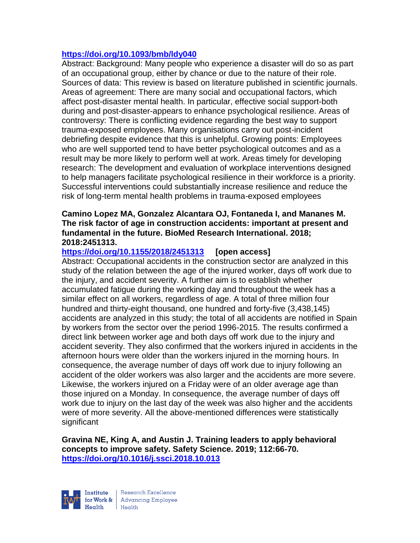#### **<https://doi.org/10.1093/bmb/ldy040>**

Abstract: Background: Many people who experience a disaster will do so as part of an occupational group, either by chance or due to the nature of their role. Sources of data: This review is based on literature published in scientific journals. Areas of agreement: There are many social and occupational factors, which affect post-disaster mental health. In particular, effective social support-both during and post-disaster-appears to enhance psychological resilience. Areas of controversy: There is conflicting evidence regarding the best way to support trauma-exposed employees. Many organisations carry out post-incident debriefing despite evidence that this is unhelpful. Growing points: Employees who are well supported tend to have better psychological outcomes and as a result may be more likely to perform well at work. Areas timely for developing research: The development and evaluation of workplace interventions designed to help managers facilitate psychological resilience in their workforce is a priority. Successful interventions could substantially increase resilience and reduce the risk of long-term mental health problems in trauma-exposed employees

#### **Camino Lopez MA, Gonzalez Alcantara OJ, Fontaneda I, and Mananes M. The risk factor of age in construction accidents: important at present and fundamental in the future. BioMed Research International. 2018; 2018:2451313.**

# **<https://doi.org/10.1155/2018/2451313> [open access]**

Abstract: Occupational accidents in the construction sector are analyzed in this study of the relation between the age of the injured worker, days off work due to the injury, and accident severity. A further aim is to establish whether accumulated fatigue during the working day and throughout the week has a similar effect on all workers, regardless of age. A total of three million four hundred and thirty-eight thousand, one hundred and forty-five (3,438,145) accidents are analyzed in this study; the total of all accidents are notified in Spain by workers from the sector over the period 1996-2015. The results confirmed a direct link between worker age and both days off work due to the injury and accident severity. They also confirmed that the workers injured in accidents in the afternoon hours were older than the workers injured in the morning hours. In consequence, the average number of days off work due to injury following an accident of the older workers was also larger and the accidents are more severe. Likewise, the workers injured on a Friday were of an older average age than those injured on a Monday. In consequence, the average number of days off work due to injury on the last day of the week was also higher and the accidents were of more severity. All the above-mentioned differences were statistically significant

**Gravina NE, King A, and Austin J. Training leaders to apply behavioral concepts to improve safety. Safety Science. 2019; 112:66-70. <https://doi.org/10.1016/j.ssci.2018.10.013>** 

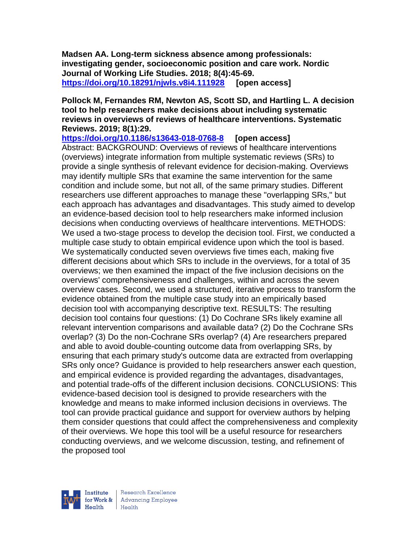**Madsen AA. Long-term sickness absence among professionals: investigating gender, socioeconomic position and care work. Nordic Journal of Working Life Studies. 2018; 8(4):45-69. <https://doi.org/10.18291/njwls.v8i4.111928> [open access]**

#### **Pollock M, Fernandes RM, Newton AS, Scott SD, and Hartling L. A decision tool to help researchers make decisions about including systematic reviews in overviews of reviews of healthcare interventions. Systematic Reviews. 2019; 8(1):29.**

**<https://doi.org/10.1186/s13643-018-0768-8> [open access]** Abstract: BACKGROUND: Overviews of reviews of healthcare interventions (overviews) integrate information from multiple systematic reviews (SRs) to provide a single synthesis of relevant evidence for decision-making. Overviews may identify multiple SRs that examine the same intervention for the same condition and include some, but not all, of the same primary studies. Different researchers use different approaches to manage these "overlapping SRs," but each approach has advantages and disadvantages. This study aimed to develop an evidence-based decision tool to help researchers make informed inclusion decisions when conducting overviews of healthcare interventions. METHODS: We used a two-stage process to develop the decision tool. First, we conducted a multiple case study to obtain empirical evidence upon which the tool is based. We systematically conducted seven overviews five times each, making five different decisions about which SRs to include in the overviews, for a total of 35 overviews; we then examined the impact of the five inclusion decisions on the overviews' comprehensiveness and challenges, within and across the seven overview cases. Second, we used a structured, iterative process to transform the evidence obtained from the multiple case study into an empirically based decision tool with accompanying descriptive text. RESULTS: The resulting decision tool contains four questions: (1) Do Cochrane SRs likely examine all relevant intervention comparisons and available data? (2) Do the Cochrane SRs overlap? (3) Do the non-Cochrane SRs overlap? (4) Are researchers prepared and able to avoid double-counting outcome data from overlapping SRs, by ensuring that each primary study's outcome data are extracted from overlapping SRs only once? Guidance is provided to help researchers answer each question, and empirical evidence is provided regarding the advantages, disadvantages, and potential trade-offs of the different inclusion decisions. CONCLUSIONS: This evidence-based decision tool is designed to provide researchers with the knowledge and means to make informed inclusion decisions in overviews. The tool can provide practical guidance and support for overview authors by helping them consider questions that could affect the comprehensiveness and complexity of their overviews. We hope this tool will be a useful resource for researchers conducting overviews, and we welcome discussion, testing, and refinement of the proposed tool

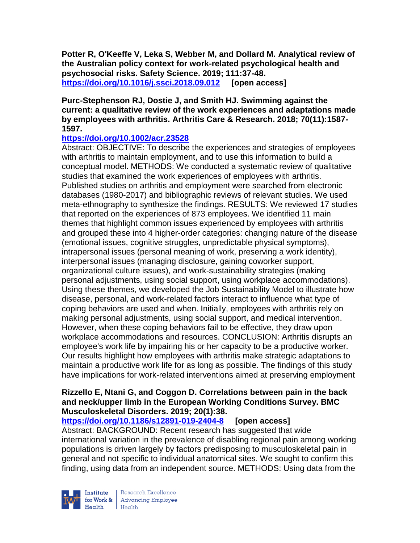**Potter R, O'Keeffe V, Leka S, Webber M, and Dollard M. Analytical review of the Australian policy context for work-related psychological health and psychosocial risks. Safety Science. 2019; 111:37-48. <https://doi.org/10.1016/j.ssci.2018.09.012> [open access]**

#### **Purc-Stephenson RJ, Dostie J, and Smith HJ. Swimming against the current: a qualitative review of the work experiences and adaptations made by employees with arthritis. Arthritis Care & Research. 2018; 70(11):1587- 1597.**

## **<https://doi.org/10.1002/acr.23528>**

Abstract: OBJECTIVE: To describe the experiences and strategies of employees with arthritis to maintain employment, and to use this information to build a conceptual model. METHODS: We conducted a systematic review of qualitative studies that examined the work experiences of employees with arthritis. Published studies on arthritis and employment were searched from electronic databases (1980-2017) and bibliographic reviews of relevant studies. We used meta-ethnography to synthesize the findings. RESULTS: We reviewed 17 studies that reported on the experiences of 873 employees. We identified 11 main themes that highlight common issues experienced by employees with arthritis and grouped these into 4 higher-order categories: changing nature of the disease (emotional issues, cognitive struggles, unpredictable physical symptoms), intrapersonal issues (personal meaning of work, preserving a work identity), interpersonal issues (managing disclosure, gaining coworker support, organizational culture issues), and work-sustainability strategies (making personal adjustments, using social support, using workplace accommodations). Using these themes, we developed the Job Sustainability Model to illustrate how disease, personal, and work-related factors interact to influence what type of coping behaviors are used and when. Initially, employees with arthritis rely on making personal adjustments, using social support, and medical intervention. However, when these coping behaviors fail to be effective, they draw upon workplace accommodations and resources. CONCLUSION: Arthritis disrupts an employee's work life by impairing his or her capacity to be a productive worker. Our results highlight how employees with arthritis make strategic adaptations to maintain a productive work life for as long as possible. The findings of this study have implications for work-related interventions aimed at preserving employment

## **Rizzello E, Ntani G, and Coggon D. Correlations between pain in the back and neck/upper limb in the European Working Conditions Survey. BMC Musculoskeletal Disorders. 2019; 20(1):38.**

**<https://doi.org/10.1186/s12891-019-2404-8> [open access]**

Abstract: BACKGROUND: Recent research has suggested that wide international variation in the prevalence of disabling regional pain among working populations is driven largely by factors predisposing to musculoskeletal pain in general and not specific to individual anatomical sites. We sought to confirm this finding, using data from an independent source. METHODS: Using data from the

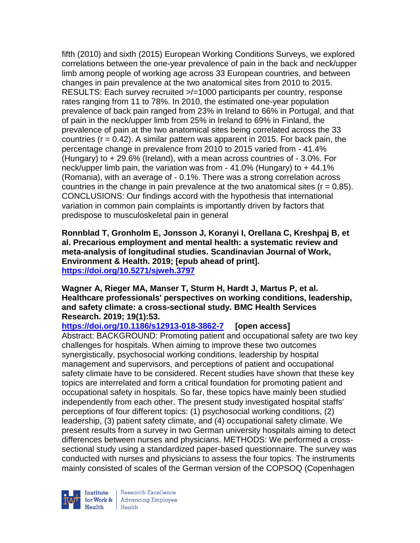fifth (2010) and sixth (2015) European Working Conditions Surveys, we explored correlations between the one-year prevalence of pain in the back and neck/upper limb among people of working age across 33 European countries, and between changes in pain prevalence at the two anatomical sites from 2010 to 2015. RESULTS: Each survey recruited >/=1000 participants per country, response rates ranging from 11 to 78%. In 2010, the estimated one-year population prevalence of back pain ranged from 23% in Ireland to 66% in Portugal, and that of pain in the neck/upper limb from 25% in Ireland to 69% in Finland, the prevalence of pain at the two anatomical sites being correlated across the 33 countries ( $r = 0.42$ ). A similar pattern was apparent in 2015. For back pain, the percentage change in prevalence from 2010 to 2015 varied from - 41.4% (Hungary) to + 29.6% (Ireland), with a mean across countries of - 3.0%. For neck/upper limb pain, the variation was from - 41.0% (Hungary) to + 44.1% (Romania), with an average of - 0.1%. There was a strong correlation across countries in the change in pain prevalence at the two anatomical sites  $(r = 0.85)$ . CONCLUSIONS: Our findings accord with the hypothesis that international variation in common pain complaints is importantly driven by factors that predispose to musculoskeletal pain in general

**Ronnblad T, Gronholm E, Jonsson J, Koranyi I, Orellana C, Kreshpaj B, et al. Precarious employment and mental health: a systematic review and meta-analysis of longitudinal studies. Scandinavian Journal of Work, Environment & Health. 2019; [epub ahead of print]. <https://doi.org/10.5271/sjweh.3797>** 

**Wagner A, Rieger MA, Manser T, Sturm H, Hardt J, Martus P, et al. Healthcare professionals' perspectives on working conditions, leadership, and safety climate: a cross-sectional study. BMC Health Services Research. 2019; 19(1):53.**

**<https://doi.org/10.1186/s12913-018-3862-7> [open access]** Abstract: BACKGROUND: Promoting patient and occupational safety are two key challenges for hospitals. When aiming to improve these two outcomes synergistically, psychosocial working conditions, leadership by hospital management and supervisors, and perceptions of patient and occupational safety climate have to be considered. Recent studies have shown that these key topics are interrelated and form a critical foundation for promoting patient and occupational safety in hospitals. So far, these topics have mainly been studied independently from each other. The present study investigated hospital staffs' perceptions of four different topics: (1) psychosocial working conditions, (2) leadership, (3) patient safety climate, and (4) occupational safety climate. We present results from a survey in two German university hospitals aiming to detect differences between nurses and physicians. METHODS: We performed a crosssectional study using a standardized paper-based questionnaire. The survey was conducted with nurses and physicians to assess the four topics. The instruments mainly consisted of scales of the German version of the COPSOQ (Copenhagen

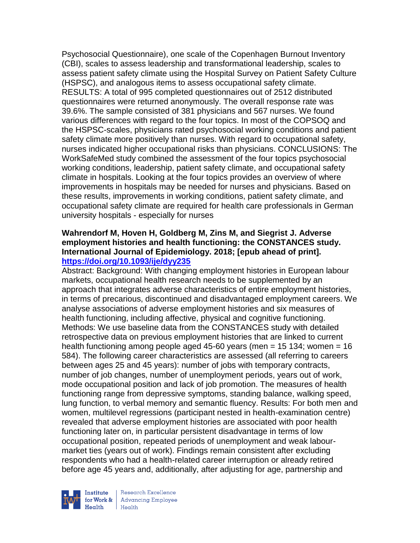Psychosocial Questionnaire), one scale of the Copenhagen Burnout Inventory (CBI), scales to assess leadership and transformational leadership, scales to assess patient safety climate using the Hospital Survey on Patient Safety Culture (HSPSC), and analogous items to assess occupational safety climate. RESULTS: A total of 995 completed questionnaires out of 2512 distributed questionnaires were returned anonymously. The overall response rate was 39.6%. The sample consisted of 381 physicians and 567 nurses. We found various differences with regard to the four topics. In most of the COPSOQ and the HSPSC-scales, physicians rated psychosocial working conditions and patient safety climate more positively than nurses. With regard to occupational safety, nurses indicated higher occupational risks than physicians. CONCLUSIONS: The WorkSafeMed study combined the assessment of the four topics psychosocial working conditions, leadership, patient safety climate, and occupational safety climate in hospitals. Looking at the four topics provides an overview of where improvements in hospitals may be needed for nurses and physicians. Based on these results, improvements in working conditions, patient safety climate, and occupational safety climate are required for health care professionals in German university hospitals - especially for nurses

#### **Wahrendorf M, Hoven H, Goldberg M, Zins M, and Siegrist J. Adverse employment histories and health functioning: the CONSTANCES study. International Journal of Epidemiology. 2018; [epub ahead of print]. <https://doi.org/10.1093/ije/dyy235>**

Abstract: Background: With changing employment histories in European labour markets, occupational health research needs to be supplemented by an approach that integrates adverse characteristics of entire employment histories, in terms of precarious, discontinued and disadvantaged employment careers. We analyse associations of adverse employment histories and six measures of health functioning, including affective, physical and cognitive functioning. Methods: We use baseline data from the CONSTANCES study with detailed retrospective data on previous employment histories that are linked to current health functioning among people aged 45-60 years (men = 15 134; women = 16 584). The following career characteristics are assessed (all referring to careers between ages 25 and 45 years): number of jobs with temporary contracts, number of job changes, number of unemployment periods, years out of work, mode occupational position and lack of job promotion. The measures of health functioning range from depressive symptoms, standing balance, walking speed, lung function, to verbal memory and semantic fluency. Results: For both men and women, multilevel regressions (participant nested in health-examination centre) revealed that adverse employment histories are associated with poor health functioning later on, in particular persistent disadvantage in terms of low occupational position, repeated periods of unemployment and weak labourmarket ties (years out of work). Findings remain consistent after excluding respondents who had a health-related career interruption or already retired before age 45 years and, additionally, after adjusting for age, partnership and



Research Excellence for Work & | Advancing Employee  $H_{\text{each}}$